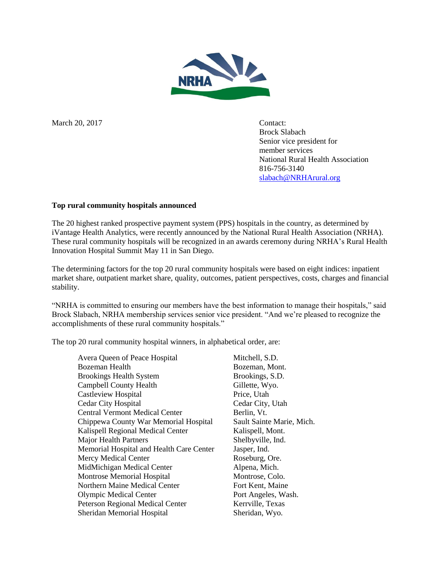

March 20, 2017 Contact:

Brock Slabach Senior vice president for member services National Rural Health Association 816-756-3140 [slabach@NRHArural.org](mailto:slabach@NRHArural.org)

## **Top rural community hospitals announced**

The 20 highest ranked prospective payment system (PPS) hospitals in the country, as determined by iVantage Health Analytics, were recently announced by the National Rural Health Association (NRHA). These rural community hospitals will be recognized in an awards ceremony during NRHA's Rural Health Innovation Hospital Summit May 11 in San Diego.

The determining factors for the top 20 rural community hospitals were based on eight indices: inpatient market share, outpatient market share, quality, outcomes, patient perspectives, costs, charges and financial stability.

"NRHA is committed to ensuring our members have the best information to manage their hospitals," said Brock Slabach, NRHA membership services senior vice president. "And we're pleased to recognize the accomplishments of these rural community hospitals."

The top 20 rural community hospital winners, in alphabetical order, are:

Avera Queen of Peace Hospital Mitchell, S.D. Bozeman Health Bozeman, Mont. Brookings Health System Brookings, S.D. Campbell County Health Gillette, Wyo. Castleview Hospital Price, Utah Cedar City Hospital Cedar City, Utah Central Vermont Medical Center Berlin, Vt. Chippewa County War Memorial Hospital Sault Sainte Marie, Mich. Kalispell Regional Medical Center Kalispell, Mont. Major Health Partners Shelbyville, Ind. Memorial Hospital and Health Care Center Jasper, Ind. Mercy Medical Center **Roseburg**, Ore. MidMichigan Medical Center **Alpena**, Mich. Montrose Memorial Hospital Montrose, Colo. Northern Maine Medical Center Fort Kent, Maine Olympic Medical Center Port Angeles, Wash. Peterson Regional Medical Center Kerrville, Texas Sheridan Memorial Hospital Sheridan, Wyo.